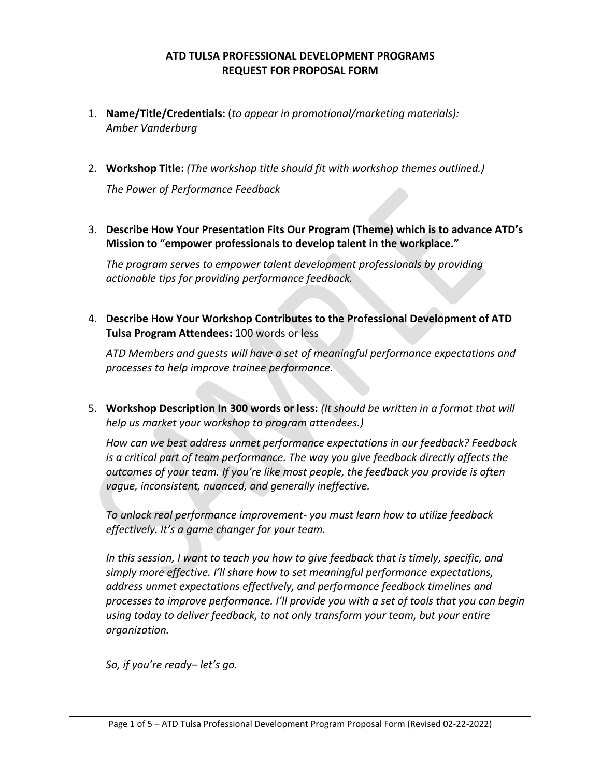#### **ATD TULSA PROFESSIONAL DEVELOPMENT PROGRAMS REQUEST FOR PROPOSAL FORM**

- 1. **Name/Title/Credentials:** (*to appear in promotional/marketing materials): Amber Vanderburg*
- 2. **Workshop Title:** *(The workshop title should fit with workshop themes outlined.) The Power of Performance Feedback*
- 3. **Describe How Your Presentation Fits Our Program (Theme) which is to advance ATD's Mission to "empower professionals to develop talent in the workplace."**

*The program serves to empower talent development professionals by providing actionable tips for providing performance feedback.*

4. **Describe How Your Workshop Contributes to the Professional Development of ATD Tulsa Program Attendees:** 100 words or less

*ATD Members and guests will have a set of meaningful performance expectations and processes to help improve trainee performance.*

5. **Workshop Description In 300 words or less:** *(It should be written in a format that will help us market your workshop to program attendees.)*

*How can we best address unmet performance expectations in our feedback? Feedback is a critical part of team performance. The way you give feedback directly affects the outcomes of your team. If you're like most people, the feedback you provide is often vague, inconsistent, nuanced, and generally ineffective.*

*To unlock real performance improvement- you must learn how to utilize feedback effectively. It's a game changer for your team.*

*In this session, I want to teach you how to give feedback that is timely, specific, and simply more effective. I'll share how to set meaningful performance expectations, address unmet expectations effectively, and performance feedback timelines and processes to improve performance. I'll provide you with a set of tools that you can begin using today to deliver feedback, to not only transform your team, but your entire organization.*

*So, if you're ready– let's go.*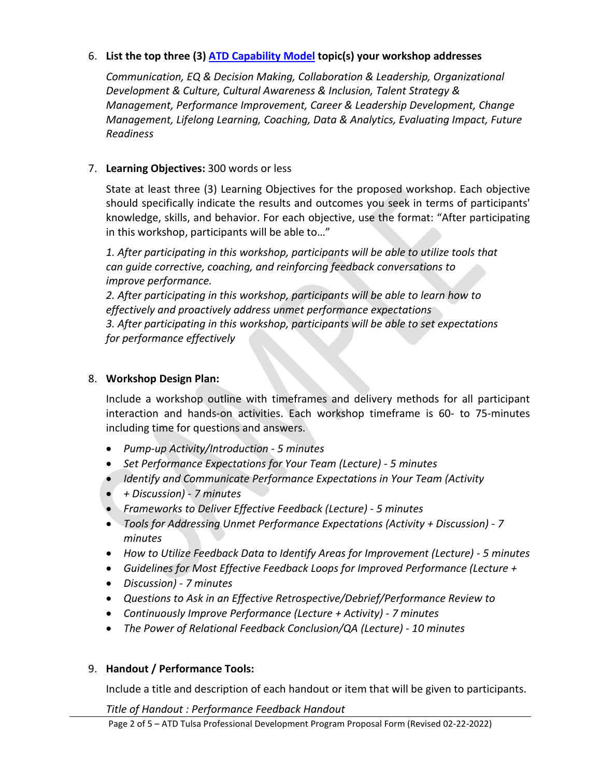# 6. **List the top three (3) [ATD Capability Model](https://www.td.org/capability-model/access) topic(s) your workshop addresses**

*Communication, EQ & Decision Making, Collaboration & Leadership, Organizational Development & Culture, Cultural Awareness & Inclusion, Talent Strategy & Management, Performance Improvement, Career & Leadership Development, Change Management, Lifelong Learning, Coaching, Data & Analytics, Evaluating Impact, Future Readiness*

# 7. **Learning Objectives:** 300 words or less

State at least three (3) Learning Objectives for the proposed workshop. Each objective should specifically indicate the results and outcomes you seek in terms of participants' knowledge, skills, and behavior. For each objective, use the format: "After participating in this workshop, participants will be able to…"

*1. After participating in this workshop, participants will be able to utilize tools that can guide corrective, coaching, and reinforcing feedback conversations to improve performance.*

*2. After participating in this workshop, participants will be able to learn how to effectively and proactively address unmet performance expectations 3. After participating in this workshop, participants will be able to set expectations for performance effectively*

### 8. **Workshop Design Plan:**

Include a workshop outline with timeframes and delivery methods for all participant interaction and hands-on activities. Each workshop timeframe is 60- to 75-minutes including time for questions and answers.

- *Pump-up Activity/Introduction - 5 minutes*
- *Set Performance Expectations for Your Team (Lecture) - 5 minutes*
- *Identify and Communicate Performance Expectations in Your Team (Activity*
- *+ Discussion) - 7 minutes*
- *Frameworks to Deliver Effective Feedback (Lecture) - 5 minutes*
- *Tools for Addressing Unmet Performance Expectations (Activity + Discussion) - 7 minutes*
- *How to Utilize Feedback Data to Identify Areas for Improvement (Lecture) - 5 minutes*
- *Guidelines for Most Effective Feedback Loops for Improved Performance (Lecture +*
- *Discussion) - 7 minutes*
- *Questions to Ask in an Effective Retrospective/Debrief/Performance Review to*
- *Continuously Improve Performance (Lecture + Activity) - 7 minutes*
- *The Power of Relational Feedback Conclusion/QA (Lecture) - 10 minutes*

### 9. **Handout / Performance Tools:**

Include a title and description of each handout or item that will be given to participants.

*Title of Handout : Performance Feedback Handout*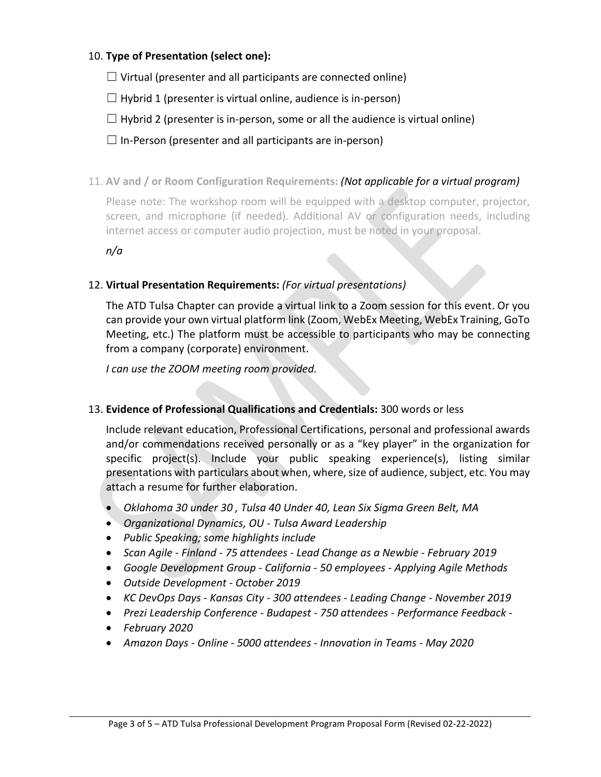# 10. **Type of Presentation (select one):**

 $\Box$  Virtual (presenter and all participants are connected online)

 $\Box$  Hybrid 1 (presenter is virtual online, audience is in-person)

 $\Box$  Hybrid 2 (presenter is in-person, some or all the audience is virtual online)

 $\Box$  In-Person (presenter and all participants are in-person)

11. **AV and / or Room Configuration Requirements:** *(Not applicable for a virtual program)*

Please note: The workshop room will be equipped with a desktop computer, proiector, screen, and microphone (if needed). Additional AV or configuration needs, including internet access or computer audio projection, must be noted in your proposal.

*n/a*

### 12. **Virtual Presentation Requirements:** *(For virtual presentations)*

The ATD Tulsa Chapter can provide a virtual link to a Zoom session for this event. Or you can provide your own virtual platform link (Zoom, WebEx Meeting, WebEx Training, GoTo Meeting, etc.) The platform must be accessible to participants who may be connecting from a company (corporate) environment.

*I can use the ZOOM meeting room provided.*

### 13. **Evidence of Professional Qualifications and Credentials:** 300 words or less

Include relevant education, Professional Certifications, personal and professional awards and/or commendations received personally or as a "key player" in the organization for specific project(s). Include your public speaking experience(s), listing similar presentations with particulars about when, where, size of audience, subject, etc. You may attach a resume for further elaboration.

- *Oklahoma 30 under 30 , Tulsa 40 Under 40, Lean Six Sigma Green Belt, MA*
- *Organizational Dynamics, OU - Tulsa Award Leadership*
- *Public Speaking; some highlights include*
- *Scan Agile - Finland - 75 attendees - Lead Change as a Newbie - February 2019*
- *Google Development Group - California - 50 employees - Applying Agile Methods*
- *Outside Development - October 2019*
- *KC DevOps Days - Kansas City - 300 attendees - Leading Change - November 2019*
- *Prezi Leadership Conference - Budapest - 750 attendees - Performance Feedback -*
- *February 2020*
- *Amazon Days - Online - 5000 attendees - Innovation in Teams - May 2020*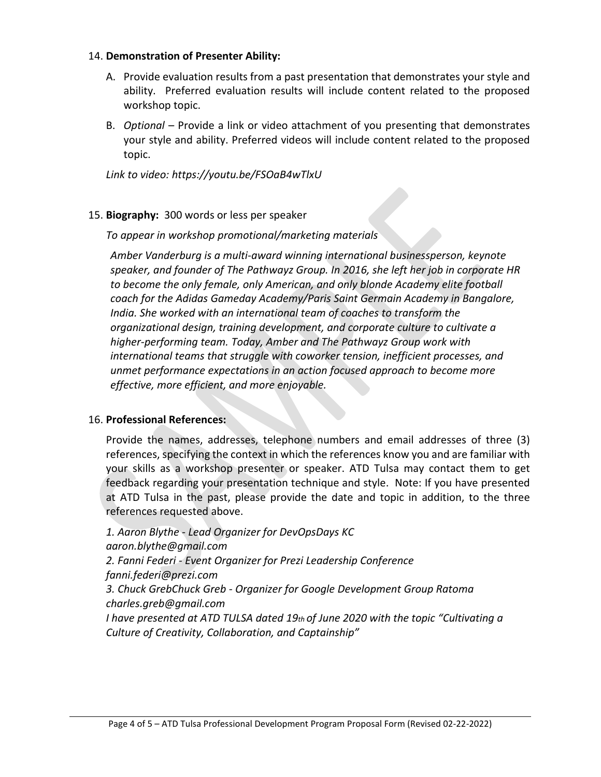#### 14. **Demonstration of Presenter Ability:**

- A. Provide evaluation results from a past presentation that demonstrates your style and ability. Preferred evaluation results will include content related to the proposed workshop topic.
- B. *Optional* Provide a link or video attachment of you presenting that demonstrates your style and ability. Preferred videos will include content related to the proposed topic.

*Link to video: https://youtu.be/FSOaB4wTlxU*

#### 15. **Biography:** 300 words or less per speaker

*To appear in workshop promotional/marketing materials*

*Amber Vanderburg is a multi-award winning international businessperson, keynote speaker, and founder of The Pathwayz Group. In 2016, she left her job in corporate HR to become the only female, only American, and only blonde Academy elite football coach for the Adidas Gameday Academy/Paris Saint Germain Academy in Bangalore, India. She worked with an international team of coaches to transform the organizational design, training development, and corporate culture to cultivate a higher-performing team. Today, Amber and The Pathwayz Group work with international teams that struggle with coworker tension, inefficient processes, and unmet performance expectations in an action focused approach to become more effective, more efficient, and more enjoyable.*

#### 16. **Professional References:**

Provide the names, addresses, telephone numbers and email addresses of three (3) references, specifying the context in which the references know you and are familiar with your skills as a workshop presenter or speaker. ATD Tulsa may contact them to get feedback regarding your presentation technique and style. Note: If you have presented at ATD Tulsa in the past, please provide the date and topic in addition, to the three references requested above.

*1. Aaron Blythe - Lead Organizer for DevOpsDays KC aaron.blythe@gmail.com 2. Fanni Federi - Event Organizer for Prezi Leadership Conference fanni.federi@prezi.com 3. Chuck GrebChuck Greb - Organizer for Google Development Group Ratoma charles.greb@gmail.com I have presented at ATD TULSA dated 19th of June 2020 with the topic "Cultivating a Culture of Creativity, Collaboration, and Captainship"*